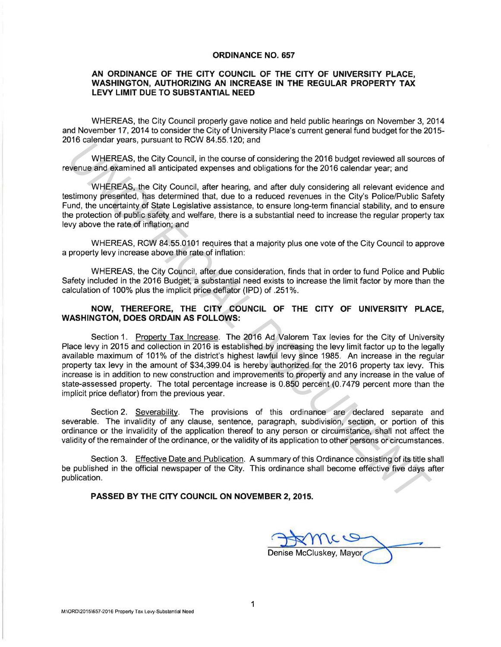## **ORDINANCE NO. 657**

## **AN ORDINANCE OF THE CITY COUNCIL OF THE CITY OF UNIVERSITY PLACE, WASHINGTON, AUTHORIZING AN INCREASE IN THE REGULAR PROPERTY TAX LEVY LIMIT DUE TO SUBSTANTIAL NEED**

WHEREAS, the City Council properly gave notice and held public hearings on November 3, 2014 and November 17, 2014 to consider the City of University Place's current general fund budget for the 2015- 2016 calendar years, pursuant to RCW 84.55.120; and

WHEREAS, the City Council, in the course of considering the 2016 budget reviewed all sources of revenue and examined all anticipated expenses and obligations for the 2016 calendar year; and

WHEREAS, the City Council, after hearing, and after duly considering all relevant evidence and testimony presented, has determined that, due to a reduced revenues in the City's Police/Public Safety Fund, the uncertainty of State Legislative assistance, to ensure long-term financial stability, and to ensure the protection of public safety and welfare, there is a substantial need to increase the regular property tax levy above the rate of inflation; and

WHEREAS, RCW 84.55.0101 requires that a majority plus one vote of the City Council to approve a property levy increase above the rate of inflation:

WHEREAS, the City Council, after due consideration, finds that in order to fund Police and Public Safety included in the 2016 Budget, a substantial need exists to increase the limit factor by more than the calculation of 100% plus the implicit price deflator {IPD) of .251 %.

## **NOW, THEREFORE, THE CITY COUNCIL OF THE CITY OF UNIVERSITY PLACE, WASHINGTON, DOES ORDAIN AS FOLLOWS:**

Section 1. Property Tax Increase. The 2016 Ad Valorem Tax levies for the City of University Place levy in 2015 and collection in 2016 is established by increasing the levy limit factor up to the legally available maximum of 101% of the district's highest lawful levy since 1985. An increase in the regular property tax levy in the amount of \$34,399.04 is hereby authorized for the 2016 property tax levy. This increase is in addition to new construction and improvements to property and any increase in the value of state-assessed property. The total percentage increase is 0.850 percent (0.7479 percent more than the implicit price deflator) from the previous year. *UNHEREAS*, the City Council, in the course of considering the 2016 budget reviewed all source<br>
WHEREAS, the City Council, in the course of considering the 2016 calendar year; and<br>
WHEREAS, the City Council, after hearing

Section 2. Severability. The provisions of this ordinance are declared separate and severable. The invalidity of any clause, sentence, paragraph, subdivision, section, or portion of this ordinance or the invalidity of the application thereof to any person or circumstance, shall not affect the validity of the remainder of the ordinance, or the validity of its application to other persons or circumstances.

Section 3. Effective Date and Publication. A summary of this Ordinance consisting of its title shall be published in the official newspaper of the City. This ordinance shall become effective five days after publication.

## **PASSED BY THE CITY COUNCIL ON NOVEMBER 2, 2015.**

Denise McCluskey, Mayor